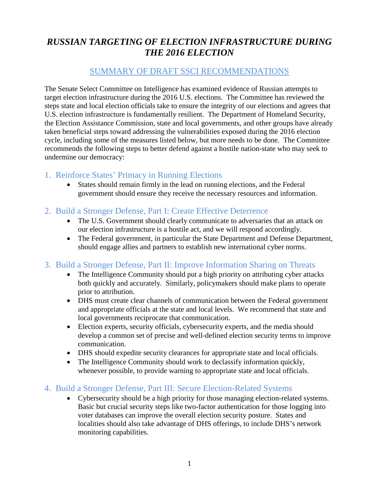# *RUSSIAN TARGETING OF ELECTION INFRASTRUCTURE DURING THE 2016 ELECTION*

### SUMMARY OF DRAFT SSCI RECOMMENDATIONS

The Senate Select Committee on Intelligence has examined evidence of Russian attempts to target election infrastructure during the 2016 U.S. elections. The Committee has reviewed the steps state and local election officials take to ensure the integrity of our elections and agrees that U.S. election infrastructure is fundamentally resilient. The Department of Homeland Security, the Election Assistance Commission, state and local governments, and other groups have already taken beneficial steps toward addressing the vulnerabilities exposed during the 2016 election cycle, including some of the measures listed below, but more needs to be done. The Committee recommends the following steps to better defend against a hostile nation-state who may seek to undermine our democracy:

## 1. Reinforce States' Primacy in Running Elections

- States should remain firmly in the lead on running elections, and the Federal government should ensure they receive the necessary resources and information.
- 2. Build a Stronger Defense, Part I: Create Effective Deterrence
	- The U.S. Government should clearly communicate to adversaries that an attack on our election infrastructure is a hostile act, and we will respond accordingly.
	- The Federal government, in particular the State Department and Defense Department, should engage allies and partners to establish new international cyber norms.

#### 3. Build a Stronger Defense, Part II: Improve Information Sharing on Threats

- The Intelligence Community should put a high priority on attributing cyber attacks both quickly and accurately. Similarly, policymakers should make plans to operate prior to attribution.
- DHS must create clear channels of communication between the Federal government and appropriate officials at the state and local levels. We recommend that state and local governments reciprocate that communication.
- Election experts, security officials, cybersecurity experts, and the media should develop a common set of precise and well-defined election security terms to improve communication.
- DHS should expedite security clearances for appropriate state and local officials.
- The Intelligence Community should work to declassify information quickly, whenever possible, to provide warning to appropriate state and local officials.

#### 4. Build a Stronger Defense, Part III: Secure Election-Related Systems

• Cybersecurity should be a high priority for those managing election-related systems. Basic but crucial security steps like two-factor authentication for those logging into voter databases can improve the overall election security posture. States and localities should also take advantage of DHS offerings, to include DHS's network monitoring capabilities.